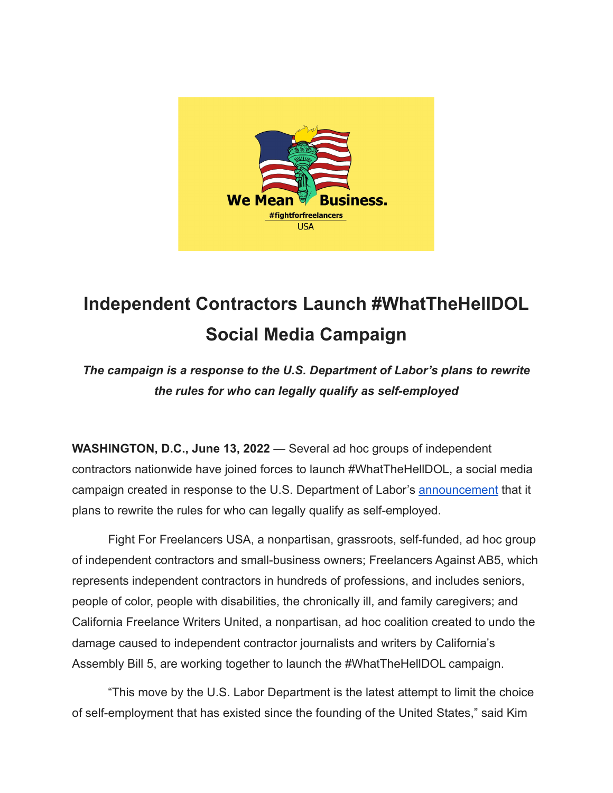

## **Independent Contractors Launch #WhatTheHellDOL Social Media Campaign**

*The campaign is a response to the U.S. Department of Labor's plans to rewrite the rules for who can legally qualify as self-employed*

**WASHINGTON, D.C., June 13, 2022** — Several ad hoc groups of independent contractors nationwide have joined forces to launch #WhatTheHellDOL, a social media campaign created in response to the U.S. Department of Labor's **[announcement](https://blog.dol.gov/2022/06/03/misclassification-of-employees-as-independent-contractors-under-the-fair-labor-standards-act)** that it plans to rewrite the rules for who can legally qualify as self-employed.

Fight For Freelancers USA, a nonpartisan, grassroots, self-funded, ad hoc group of independent contractors and small-business owners; Freelancers Against AB5, which represents independent contractors in hundreds of professions, and includes seniors, people of color, people with disabilities, the chronically ill, and family caregivers; and California Freelance Writers United, a nonpartisan, ad hoc coalition created to undo the damage caused to independent contractor journalists and writers by California's Assembly Bill 5, are working together to launch the #WhatTheHellDOL campaign.

"This move by the U.S. Labor Department is the latest attempt to limit the choice of self-employment that has existed since the founding of the United States," said Kim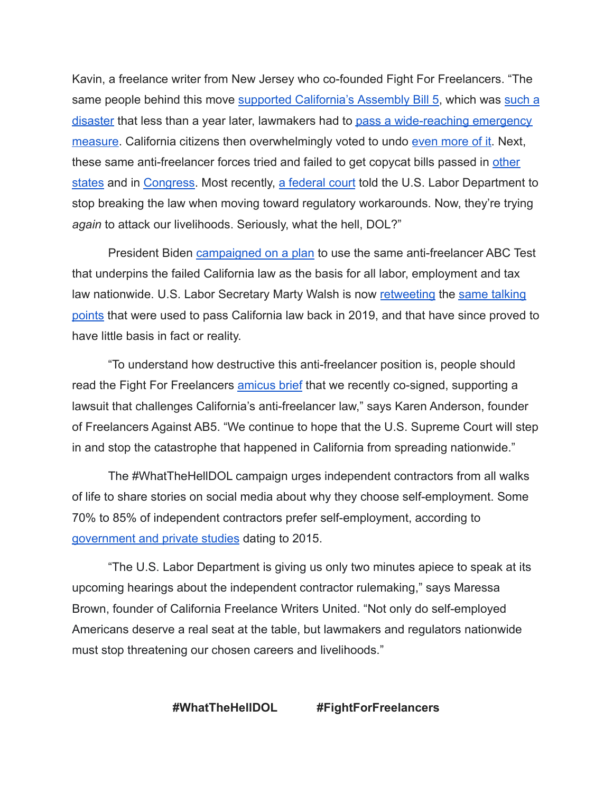Kavin, a freelance writer from New Jersey who co-founded Fight For Freelancers. "The same people behind this move [supported California's](https://twitter.com/JulieSuCA/status/1207052359009886209?s=20&t=sBb3SEn-ZHwIbXkGJ5RJbg) Assembly Bill 5, which was [such a](https://www.forbes.com/sites/elainepofeldt/2020/01/19/californias-ab5-leaves-women-business-owners-reeling/) [disaster](https://www.forbes.com/sites/elainepofeldt/2020/01/19/californias-ab5-leaves-women-business-owners-reeling/) that less than a year later, lawmakers had to [pass a wide-reaching emergency](https://www.natlawreview.com/article/ab-2257-enacts-significant-changes-to-ab-5-classification-workers-independent#:~:text=AB%202257%20clarifies%20how%20a,deduction%20by%20a%20referral%20agency.) [measure.](https://www.natlawreview.com/article/ab-2257-enacts-significant-changes-to-ab-5-classification-workers-independent#:~:text=AB%202257%20clarifies%20how%20a,deduction%20by%20a%20referral%20agency.) California citizens then overwhelmingly voted to undo [even more of it.](https://ballotpedia.org/California_Proposition_22,_App-Based_Drivers_as_Contractors_and_Labor_Policies_Initiative_(2020)) Next, these same anti-freelancer forces tried and failed to get copycat bills passed in [other](https://www.nj.com/politics/2020/01/contentious-nj-independent-contractors-bill-wont-get-vote-before-session-ends-next-week.html) [states](https://www.nj.com/politics/2020/01/contentious-nj-independent-contractors-bill-wont-get-vote-before-session-ends-next-week.html) and in [Congress.](https://www.uschamber.com/workforce/independent-contractors/the-pro-acts-attack-on-independent-contracting-questions-and-answers) Most recently, [a federal court](https://news.bloomberglaw.com/daily-labor-report/dol-appeals-decision-reviving-trump-independent-contractor-rule) told the U.S. Labor Department to stop breaking the law when moving toward regulatory workarounds. Now, they're trying *again* to attack our livelihoods. Seriously, what the hell, DOL?"

President Biden [campaigned on a plan](https://joebiden.com/empowerworkers/) to use the same anti-freelancer ABC Test that underpins the failed California law as the basis for all labor, employment and tax law nationwide. U.S. Labor Secretary Marty Walsh is now [retweeting](https://twitter.com/UAPipeTrades/status/1533915999573098498?s=20&t=CxKSk1icHuCoRDH6BbZDHg) the [same talking](https://www.latimes.com/california/story/2019-09-18/gavin-newsom-signs-ab5-employees0independent-contractors-california) [points](https://www.latimes.com/california/story/2019-09-18/gavin-newsom-signs-ab5-employees0independent-contractors-california) that were used to pass California law back in 2019, and that have since proved to have little basis in fact or reality.

"To understand how destructive this anti-freelancer position is, people should read the Fight For Freelancers [amicus brief](https://www.supremecourt.gov/DocketPDF/21/21-1172/220845/20220412154001635_21-1172.amicus.brief.FINAL.pdf) that we recently co-signed, supporting a lawsuit that challenges California's anti-freelancer law," says Karen Anderson, founder of Freelancers Against AB5. "We continue to hope that the U.S. Supreme Court will step in and stop the catastrophe that happened in California from spreading nationwide."

The #WhatTheHellDOL campaign urges independent contractors from all walks of life to share stories on social media about why they choose self-employment. Some 70% to 85% of independent contractors prefer self-employment, according to [government and private studies](https://fightforfreelancersusa.com/data-and-studies/) dating to 2015.

"The U.S. Labor Department is giving us only two minutes apiece to speak at its upcoming hearings about the independent contractor rulemaking," says Maressa Brown, founder of California Freelance Writers United. "Not only do self-employed Americans deserve a real seat at the table, but lawmakers and regulators nationwide must stop threatening our chosen careers and livelihoods."

**#WhatTheHellDOL #FightForFreelancers**